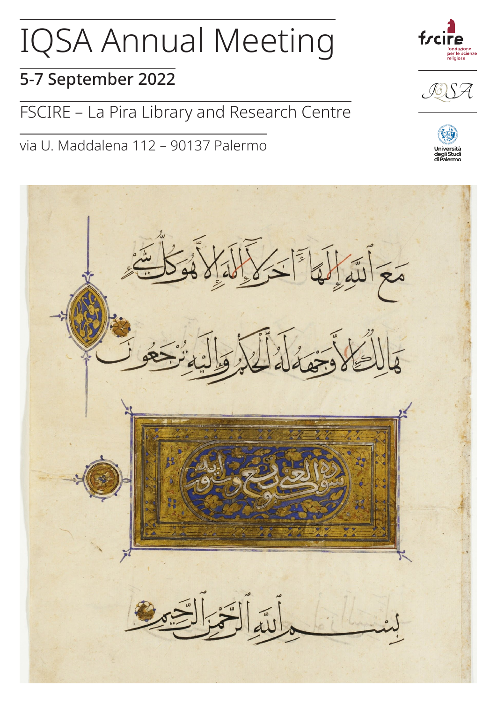# IQSA Annual Meeting

### 5-7 September 2022

FSCIRE – La Pira Library and Research Centre

via U. Maddalena 112 – 90137 Palermo







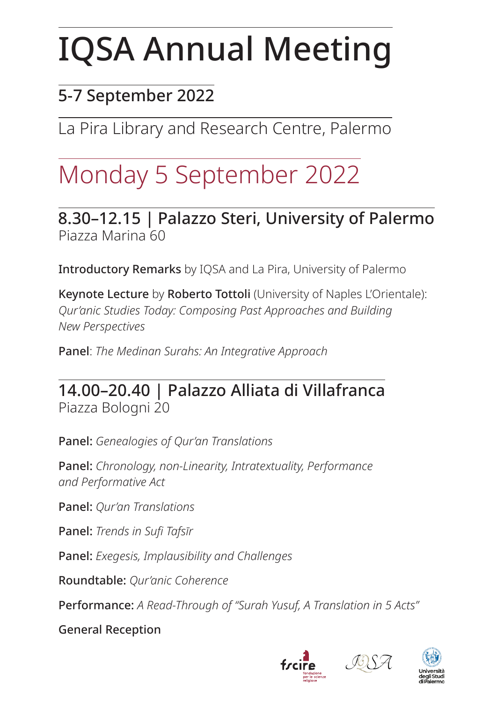# IQSA Annual Meeting

### 5-7 September 2022

La Pira Library and Research Centre, Palermo

### Monday 5 September 2022

8.30–12.15 | Palazzo Steri, University of Palermo Piazza Marina 60

Introductory Remarks by IQSA and La Pira, University of Palermo

Keynote Lecture by Roberto Tottoli (University of Naples L'Orientale): *Qur'anic Studies Today: Composing Past Approaches and Building New Perspectives*

Panel: *The Medinan Surahs: An Integrative Approach*

### 14.00–20.40 | Palazzo Alliata di Villafranca Piazza Bologni 20

Panel: *Genealogies of Qur'an Translations*

Panel: *Chronology, non-Linearity, Intratextuality, Performance and Performative Act*

Panel: *Qur'an Translations*

Panel: *Trends in Sufi Tafsīr*

Panel: *Exegesis, Implausibility and Challenges*

Roundtable: *Qur'anic Coherence*

Performance: *A Read-Through of "Surah Yusuf, A Translation in 5 Acts"*

General Reception